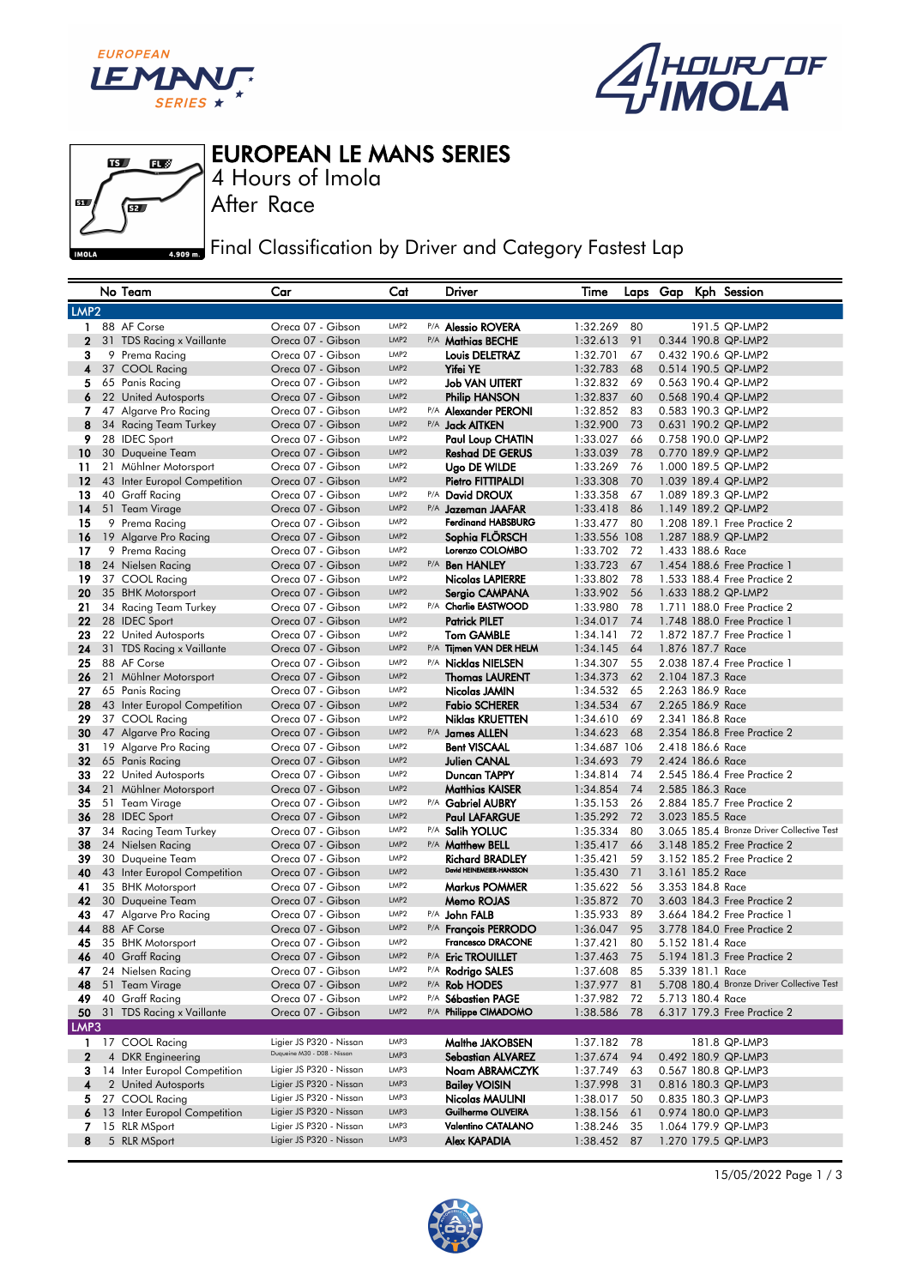



EUROPEAN LE MANS SERIES



After Race 4 Hours of Imola

**Final Classification by Driver and Category Fastest Lap** 

|                  | No Team                                   | Car                                                    | Cat                                  |     | Driver                                             | Time                       |          |                  | Laps Gap Kph Session                                                     |
|------------------|-------------------------------------------|--------------------------------------------------------|--------------------------------------|-----|----------------------------------------------------|----------------------------|----------|------------------|--------------------------------------------------------------------------|
| LMP <sub>2</sub> |                                           |                                                        |                                      |     |                                                    |                            |          |                  |                                                                          |
| $\mathbf{1}$     | 88 AF Corse                               | Oreca 07 - Gibson                                      | LMP <sub>2</sub>                     |     | P/A <b>Alessio ROVERA</b>                          | 1:32.269                   | 80       |                  | 191.5 QP-LMP2                                                            |
| $\mathbf{2}$     | 31 TDS Racing x Vaillante                 | Oreca 07 - Gibson                                      | LMP2                                 |     | P/A Mathias BECHE                                  | 1:32.613                   | 91       |                  | 0.344 190.8 QP-LMP2                                                      |
| 3                | 9 Prema Racing                            | Oreca 07 - Gibson                                      | LMP <sub>2</sub>                     |     | <b>Louis DELETRAZ</b>                              | 1:32.701                   | 67       |                  | 0.432 190.6 QP-LMP2                                                      |
| 4                | 37 COOL Racing                            | Oreca 07 - Gibson                                      | LMP <sub>2</sub>                     |     | <b>Yifei YE</b>                                    | 1:32.783                   | 68       |                  | 0.514 190.5 QP-LMP2                                                      |
| 5                | 65 Panis Racing                           | Oreca 07 - Gibson                                      | LMP <sub>2</sub>                     |     | <b>Job VAN UITERT</b>                              | 1:32.832                   | 69       |                  | 0.563 190.4 QP-LMP2                                                      |
| 6                | 22 United Autosports                      | Oreca 07 - Gibson                                      | LMP <sub>2</sub>                     |     | <b>Philip HANSON</b>                               | 1:32.837                   | 60       |                  | 0.568 190.4 QP-LMP2                                                      |
| $\overline{7}$   | 47 Algarve Pro Racing                     | Oreca 07 - Gibson                                      | LMP <sub>2</sub>                     |     | P/A Alexander PERONI                               | 1:32.852                   | 83       |                  | 0.583 190.3 QP-LMP2                                                      |
| 8                | 34 Racing Team Turkey                     | Oreca 07 - Gibson                                      | LMP2                                 |     | P/A <b>Jack AITKEN</b>                             | 1:32.900                   | 73       |                  | 0.631 190.2 QP-LMP2                                                      |
| 9                | 28 IDEC Sport                             | Oreca 07 - Gibson                                      | LMP <sub>2</sub>                     |     | Paul Loup CHATIN                                   | 1:33.027                   | 66       |                  | 0.758 190.0 QP-LMP2                                                      |
| 10 <sup>°</sup>  | 30 Duqueine Team                          | Oreca 07 - Gibson                                      | LMP2                                 |     | <b>Reshad DE GERUS</b>                             | 1:33.039                   | 78       |                  | 0.770 189.9 QP-LMP2                                                      |
| 11               | 21 Mühlner Motorsport                     | Oreca 07 - Gibson                                      | LMP <sub>2</sub>                     |     | Ugo DE WILDE                                       | 1:33.269                   | 76       |                  | 1.000 189.5 QP-LMP2                                                      |
| 12               | 43 Inter Europol Competition              | Oreca 07 - Gibson                                      | LMP <sub>2</sub>                     |     | Pietro FITTIPALDI                                  | 1:33.308                   | 70       |                  | 1.039 189.4 QP-LMP2                                                      |
| 13               | 40 Graff Racing                           | Oreca 07 - Gibson                                      | LMP <sub>2</sub>                     |     | P/A David DROUX                                    | 1:33.358                   | 67       |                  | 1.089 189.3 QP-LMP2                                                      |
| 14               | 51 Team Virage                            | Oreca 07 - Gibson                                      | LMP2                                 |     | P/A Jazeman JAAFAR                                 | 1:33.418                   | 86       |                  | 1.149 189.2 QP-LMP2                                                      |
| 15               | 9 Prema Racing                            | Oreca 07 - Gibson                                      | LMP <sub>2</sub>                     |     | <b>Ferdinand HABSBURG</b>                          | 1:33.477                   | 80       |                  | 1,208 189.1 Free Practice 2                                              |
| 16               |                                           | Oreca 07 - Gibson                                      | LMP <sub>2</sub>                     |     | Sophia FLÖRSCH                                     |                            |          |                  | 1.287 188.9 QP-LMP2                                                      |
| 17               | 19 Algarve Pro Racing                     | Oreca 07 - Gibson                                      | LMP <sub>2</sub>                     |     | Lorenzo COLOMBO                                    | 1:33.556 108               | 72       | 1.433 188.6 Race |                                                                          |
| 18               | 9 Prema Racing                            | Oreca 07 - Gibson                                      | LMP2                                 |     |                                                    | 1:33.702                   |          |                  | 1.454 188.6 Free Practice 1                                              |
|                  | 24 Nielsen Racing                         |                                                        | LMP <sub>2</sub>                     |     | P/A <b>Ben HANLEY</b>                              | 1:33.723                   | 67       |                  |                                                                          |
| 19               | 37 COOL Racing                            | Oreca 07 - Gibson                                      | LMP2                                 |     | Nicolas LAPIERRE                                   | 1:33.802                   | 78       |                  | 1,533 188.4 Free Practice 2                                              |
| 20               | 35 BHK Motorsport                         | Oreca 07 - Gibson                                      | LMP <sub>2</sub>                     |     | Sergio CAMPANA<br>P/A Charlie EASTWOOD             | 1:33.902                   | 56       |                  | 1.633 188.2 QP-LMP2                                                      |
| 21               | 34 Racing Team Turkey                     | Oreca 07 - Gibson                                      |                                      |     |                                                    | 1:33.980                   | 78       |                  | 1.711 188.0 Free Practice 2                                              |
| 22               | 28 IDEC Sport                             | Oreca 07 - Gibson                                      | LMP2<br>LMP <sub>2</sub>             |     | <b>Patrick PILET</b>                               | 1:34.017                   | 74       |                  | 1.748 188.0 Free Practice 1                                              |
| 23               | 22 United Autosports                      | Oreca 07 - Gibson                                      |                                      |     | <b>Tom GAMBLE</b>                                  | 1:34.141                   | 72       |                  | 1.872 187.7 Free Practice 1                                              |
| 24               | 31 TDS Racing x Vaillante                 | Oreca 07 - Gibson                                      | LMP <sub>2</sub>                     |     | P/A Tijmen VAN DER HELM                            | 1:34.145                   | 64       | 1.876 187.7 Race |                                                                          |
| 25               | 88 AF Corse                               | Oreca 07 - Gibson                                      | LMP <sub>2</sub><br>LMP <sub>2</sub> |     | P/A Nicklas NIELSEN                                | 1:34.307                   | 55       |                  | 2.038 187.4 Free Practice 1                                              |
| 26               | 21 Mühlner Motorsport                     | Oreca 07 - Gibson                                      |                                      |     | <b>Thomas LAURENT</b>                              | 1:34.373                   | 62       | 2.104 187.3 Race |                                                                          |
| 27               | 65 Panis Racing                           | Oreca 07 - Gibson                                      | LMP <sub>2</sub><br>LMP <sub>2</sub> |     | Nicolas JAMIN                                      | 1:34.532                   | 65       | 2.263 186.9 Race |                                                                          |
| 28               | 43 Inter Europol Competition              | Oreca 07 - Gibson                                      | LMP <sub>2</sub>                     |     | <b>Fabio SCHERER</b>                               | 1:34.534                   | 67       | 2.265 186.9 Race |                                                                          |
| 29               | 37 COOL Racing                            | Oreca 07 - Gibson                                      | LMP2                                 |     | Niklas KRUETTEN                                    | 1:34.610                   | 69       | 2.341 186.8 Race |                                                                          |
| 30               | 47 Algarve Pro Racing                     | Oreca 07 - Gibson                                      |                                      |     | P/A James ALLEN                                    | 1:34.623                   | 68       |                  | 2.354 186.8 Free Practice 2                                              |
| 31               | 19 Algarve Pro Racing                     | Oreca 07 - Gibson                                      | LMP <sub>2</sub><br>LMP2             |     | <b>Bent VISCAAL</b>                                | 1:34.687 106               |          | 2.418 186.6 Race |                                                                          |
| 32               | 65 Panis Racing                           | Oreca 07 - Gibson                                      | LMP <sub>2</sub>                     |     | <b>Julien CANAL</b>                                | 1:34.693                   | 79       | 2.424 186.6 Race |                                                                          |
| 33               | 22 United Autosports                      | Oreca 07 - Gibson                                      | LMP <sub>2</sub>                     |     | Duncan TAPPY                                       | 1:34.814                   | 74       |                  | 2.545 186.4 Free Practice 2                                              |
| 34               | 21 Mühlner Motorsport                     | Oreca 07 - Gibson                                      | LMP <sub>2</sub>                     |     | <b>Matthias KAISER</b>                             | 1:34.854                   | 74       | 2.585 186.3 Race |                                                                          |
| 35               | 51 Team Virage                            | Oreca 07 - Gibson                                      | LMP <sub>2</sub>                     |     | P/A Gabriel AUBRY                                  | 1:35.153                   | 26       |                  | 2.884 185.7 Free Practice 2                                              |
| 36               | 28 IDEC Sport                             | Oreca 07 - Gibson                                      | LMP2                                 |     | <b>Paul LAFARGUE</b>                               | 1:35.292                   | 72       | 3.023 185.5 Race |                                                                          |
| 37<br>38         | 34 Racing Team Turkey                     | Oreca 07 - Gibson<br>Oreca 07 - Gibson                 | LMP <sub>2</sub>                     |     | P/A Salih YOLUC<br>P/A Matthew BELL                | 1:35.334                   | 80       |                  | 3.065 185.4 Bronze Driver Collective Test<br>3.148 185.2 Free Practice 2 |
|                  | 24 Nielsen Racing                         |                                                        | LMP <sub>2</sub>                     |     |                                                    | 1:35.417                   | 66       |                  |                                                                          |
| 39               | 30 Duqueine Team                          | Oreca 07 - Gibson                                      | LMP <sub>2</sub>                     |     | <b>Richard BRADLEY</b><br>David HEINEMEIER-HANSSON | 1:35.421                   | 59       |                  | 3.152 185.2 Free Practice 2                                              |
| 40               | 43 Inter Europol Competition              | Oreca 07 - Gibson<br>Oreca 07 - Gibson                 | LMP <sub>2</sub>                     |     | Markus POMMER                                      | 1:35.430                   | 71<br>56 | 3.161 185.2 Race |                                                                          |
| 41               | 35 BHK Motorsport                         | Oreca 07 - Gibson                                      | LMP <sub>2</sub>                     |     |                                                    | 1:35.622                   |          | 3,353 184.8 Race |                                                                          |
| 42               | 30 Duqueine Team<br>47 Algarve Pro Racing | Oreca 07 - Gibson                                      | LMP <sub>2</sub>                     |     | Memo ROJAS                                         | 1:35.872<br>1:35.933       | 70<br>89 |                  | 3.603 184.3 Free Practice 2<br>3.664 184.2 Free Practice 1               |
| 43<br>44         | 88 AF Corse                               | Oreca 07 - Gibson                                      | LMP2                                 |     | P/A John FALB<br>P/A François PERRODO              | 1:36.047                   | 95       |                  | 3.778 184.0 Free Practice 2                                              |
| 45               |                                           | Oreca 07 - Gibson                                      | LMP <sub>2</sub>                     |     | <b>Francesco DRACONE</b>                           | 1:37.421                   | 80       | 5.152 181.4 Race |                                                                          |
| 46               | 35 BHK Motorsport<br>40 Graff Racing      | Oreca 07 - Gibson                                      | LMP <sub>2</sub>                     |     | P/A Eric TROUILLET                                 | 1:37.463                   | 75       |                  | 5.194 181.3 Free Practice 2                                              |
| 47               | 24 Nielsen Racing                         |                                                        | LMP2                                 |     |                                                    |                            |          | 5.339 181.1 Race |                                                                          |
|                  |                                           | Oreca 07 - Gibson<br>Oreca 07 - Gibson                 | LMP <sub>2</sub>                     |     | P/A Rodrigo SALES                                  | 1:37.608 85<br>1:37.977 81 |          |                  | 5.708 180.4 Bronze Driver Collective Test                                |
|                  | 48 51 Team Virage<br>49 40 Graff Racing   | Oreca 07 - Gibson                                      | LMP <sub>2</sub>                     | P/A | P/A Rob HODES<br><b>Sébastien PAGE</b>             | 1:37.982                   | 72       | 5.713 180.4 Race |                                                                          |
|                  | 50 31 TDS Racing x Vaillante              |                                                        | LMP2                                 |     | P/A Philippe CIMADOMO                              |                            |          |                  |                                                                          |
|                  |                                           | Oreca 07 - Gibson                                      |                                      |     |                                                    | 1:38.586 78                |          |                  | 6.317 179.3 Free Practice 2                                              |
| LMP3             |                                           |                                                        |                                      |     |                                                    |                            |          |                  |                                                                          |
| 1.               | 17 COOL Racing                            | Ligier JS P320 - Nissan<br>Duqueine M30 - D08 - Nissan | LMP3                                 |     | Malthe JAKOBSEN                                    | 1:37.182                   | 78       |                  | 181.8 QP-LMP3                                                            |
| 2                | 4 DKR Engineering                         |                                                        | LMP3                                 |     | <b>Sebastian ALVAREZ</b>                           | 1:37.674                   | 94       |                  | 0.492 180.9 QP-LMP3                                                      |
| 3                | 14 Inter Europol Competition              | Ligier JS P320 - Nissan                                | LMP3                                 |     | Noam ABRAMCZYK                                     | 1:37.749                   | 63       |                  | 0.567 180.8 QP-LMP3                                                      |
| 4                | 2 United Autosports                       | Ligier JS P320 - Nissan                                | LMP3                                 |     | <b>Bailey VOISIN</b>                               | 1:37.998                   | 31       |                  | 0.816 180.3 QP-LMP3                                                      |
| 5.               | 27 COOL Racing                            | Ligier JS P320 - Nissan                                | LMP3                                 |     | Nicolas MAULINI                                    | 1:38.017                   | 50       |                  | 0.835 180.3 QP-LMP3                                                      |
| 6.               | 13 Inter Europol Competition              | Ligier JS P320 - Nissan                                | LMP3                                 |     | Guilherme OLIVEIRA                                 | 1:38.156                   | 61       |                  | 0.974 180.0 QP-LMP3                                                      |
| 7                | 15 RLR MSport                             | Ligier JS P320 - Nissan                                | LMP3                                 |     | <b>Valentino CATALANO</b>                          | 1:38.246                   | 35       |                  | 1.064 179.9 QP-LMP3                                                      |
| 8                | 5 RLR MSport                              | Ligier JS P320 - Nissan                                | LMP3                                 |     | <b>Alex KAPADIA</b>                                | 1:38.452 87                |          |                  | 1.270 179.5 QP-LMP3                                                      |



15/05/2022 Page 1 / 3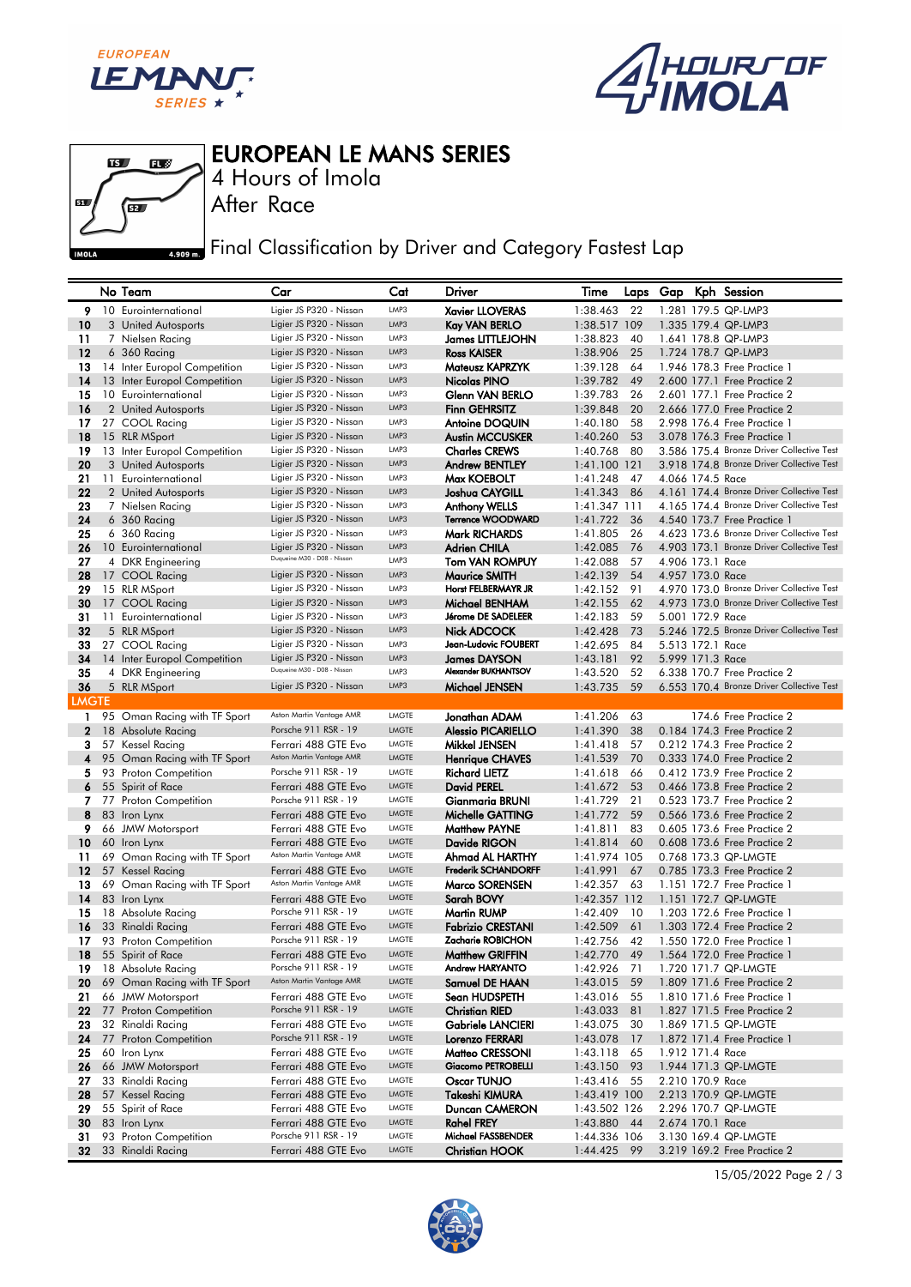



EUROPEAN LE MANS SERIES



After Race 4 Hours of Imola

**Final Classification by Driver and Category Fastest Lap** 

|              | No Team                                          | Car                                                | Cat                   | <b>Driver</b>                                    | Time                        |          |                  | Laps Gap Kph Session                                                                   |
|--------------|--------------------------------------------------|----------------------------------------------------|-----------------------|--------------------------------------------------|-----------------------------|----------|------------------|----------------------------------------------------------------------------------------|
| 9            | 10 Eurointernational                             | Ligier JS P320 - Nissan                            | LMP3                  | <b>Xavier LLOVERAS</b>                           | 1:38.463                    | 22       |                  | 1.281 179.5 QP-LMP3                                                                    |
| 10           | 3 United Autosports                              | Ligier JS P320 - Nissan                            | LMP3                  | <b>Kay VAN BERLO</b>                             | 1:38.517 109                |          |                  | 1.335 179.4 QP-LMP3                                                                    |
| 11           | 7 Nielsen Racing                                 | Ligier JS P320 - Nissan                            | LMP3                  | James LITTLEJOHN                                 | 1:38.823                    | 40       |                  | 1.641 178.8 QP-LMP3                                                                    |
| 12           | 6 360 Racing                                     | Ligier JS P320 - Nissan                            | LMP3                  | <b>Ross KAISER</b>                               | 1:38.906                    | 25       |                  | 1.724 178.7 QP-LMP3                                                                    |
| 13           | 14 Inter Europol Competition                     | Ligier JS P320 - Nissan                            | LMP3                  | Mateusz KAPRZYK                                  | 1:39.128                    | 64       |                  | 1.946 178.3 Free Practice 1                                                            |
| 14           | 13 Inter Europol Competition                     | Ligier JS P320 - Nissan                            | LMP3                  | Nicolas PINO                                     | 1:39.782                    | 49       |                  | 2.600 177.1 Free Practice 2                                                            |
| 15           | 10 Eurointernational                             | Ligier JS P320 - Nissan                            | LMP3                  | Glenn VAN BERLO                                  | 1:39.783                    | 26       |                  | 2.601 177.1 Free Practice 2                                                            |
| 16           | 2 United Autosports                              | Ligier JS P320 - Nissan                            | LMP3                  | <b>Finn GEHRSITZ</b>                             | 1:39.848                    | 20       |                  | 2.666 177.0 Free Practice 2                                                            |
| 17           | 27 COOL Racing                                   | Ligier JS P320 - Nissan                            | LMP3                  | <b>Antoine DOQUIN</b>                            | 1:40.180                    | 58       |                  | 2.998 176.4 Free Practice 1                                                            |
| 18           | 15 RLR MSport                                    | Ligier JS P320 - Nissan                            | LMP3                  | <b>Austin MCCUSKER</b>                           | 1:40.260                    | 53       |                  | 3.078 176.3 Free Practice 1                                                            |
| 19           | 13 Inter Europol Competition                     | Ligier JS P320 - Nissan                            | LMP3                  | <b>Charles CREWS</b>                             | 1:40.768                    | 80       |                  | 3.586 175.4 Bronze Driver Collective Test                                              |
| 20           | 3 United Autosports                              | Ligier JS P320 - Nissan                            | LMP3                  | <b>Andrew BENTLEY</b>                            | 1:41.100 121                |          |                  | 3.918 174.8 Bronze Driver Collective Test                                              |
| 21           | 11 Eurointernational                             | Ligier JS P320 - Nissan                            | LMP3                  | Max KOEBOLT                                      | 1:41.248                    | - 47     | 4.066 174.5 Race |                                                                                        |
| 22           | 2 United Autosports                              | Ligier JS P320 - Nissan<br>Ligier JS P320 - Nissan | LMP3<br>LMP3          | Joshua CAYGILL                                   | 1:41.343                    | 86       |                  | 4.161 174.4 Bronze Driver Collective Test<br>4.165 174.4 Bronze Driver Collective Test |
| 23<br>24     | 7 Nielsen Racing<br>$6\,360$ Racing              | Ligier JS P320 - Nissan                            | LMP3                  | <b>Anthony WELLS</b><br><b>Terrence WOODWARD</b> | 1:41.347 111<br>1:41.722    | 36       |                  | 4.540 173.7 Free Practice 1                                                            |
| 25           | 6 360 Racing                                     | Ligier JS P320 - Nissan                            | LMP3                  | <b>Mark RICHARDS</b>                             | 1:41.805                    | 26       |                  | 4.623 173.6 Bronze Driver Collective Test                                              |
| 26           | 10 Eurointernational                             | Ligier JS P320 - Nissan                            | LMP3                  | <b>Adrien CHILA</b>                              | 1:42.085                    | 76       |                  | 4.903 173.1 Bronze Driver Collective Test                                              |
| 27           | 4 DKR Engineering                                | Duqueine M30 - D08 - Nissan                        | LMP3                  | <b>Tom VAN ROMPUY</b>                            | 1:42.088                    | 57       | 4.906 173.1 Race |                                                                                        |
| 28           | 17 COOL Racing                                   | Ligier JS P320 - Nissan                            | LMP3                  | Maurice SMITH                                    | 1:42.139                    | 54       | 4.957 173.0 Race |                                                                                        |
| 29           | 15 RLR MSport                                    | Ligier JS P320 - Nissan                            | LMP3                  | Horst FELBERMAYR JR                              | 1:42.152                    | 91       |                  | 4.970 173.0 Bronze Driver Collective Test                                              |
| 30           | 17 COOL Racing                                   | Ligier JS P320 - Nissan                            | LMP3                  | Michael BENHAM                                   | 1:42.155                    | 62       |                  | 4.973 173.0 Bronze Driver Collective Test                                              |
| 31           | 11 Eurointernational                             | Ligier JS P320 - Nissan                            | LMP3                  | Jérome DE SADELEER                               | 1:42.183                    | 59       | 5.001 172.9 Race |                                                                                        |
| 32           | 5 RLR MSport                                     | Ligier JS P320 - Nissan                            | LMP3                  | Nick ADCOCK                                      | 1:42.428                    | 73       |                  | 5.246 172.5 Bronze Driver Collective Test                                              |
| 33           | 27 COOL Racing                                   | Ligier JS P320 - Nissan                            | LMP3                  | Jean-Ludovic FOUBERT                             | 1:42.695                    | 84       | 5.513 172.1 Race |                                                                                        |
| 34           | 14 Inter Europol Competition                     | Ligier JS P320 - Nissan                            | LMP3                  | James DAYSON                                     | 1:43.181                    | 92       | 5.999 171.3 Race |                                                                                        |
| 35           | 4 DKR Engineering                                | Duqueine M30 - D08 - Nissan                        | LMP3                  | Alexander BUKHANTSOV                             | 1:43.520                    | 52       |                  | 6.338 170.7 Free Practice 2                                                            |
| 36           | 5 RLR MSport                                     | Ligier JS P320 - Nissan                            | LMP3                  | Michael JENSEN                                   | 1:43.735                    | 59       |                  | 6.553 170.4 Bronze Driver Collective Test                                              |
| <b>LMGTE</b> |                                                  |                                                    |                       |                                                  |                             |          |                  |                                                                                        |
| $\mathbf{1}$ | 95 Oman Racing with TF Sport                     | Aston Martin Vantage AMR<br>Porsche 911 RSR - 19   | LMGTE<br>LMGTE        | Jonathan ADAM                                    | 1:41.206                    | 63       |                  | 174.6 Free Practice 2                                                                  |
| $\mathbf{2}$ | 18 Absolute Racing                               |                                                    | LMGTE                 | <b>Alessio PICARIELLO</b>                        | 1:41.390                    | 38<br>57 |                  | 0.184 174.3 Free Practice 2                                                            |
| З.<br>4      | 57 Kessel Racing<br>95 Oman Racing with TF Sport | Ferrari 488 GTE Evo<br>Aston Martin Vantage AMR    | LMGTE                 | Mikkel JENSEN<br><b>Henrique CHAVES</b>          | 1:41.418<br>1:41.539        | 70       |                  | 0.212 174.3 Free Practice 2<br>0.333 174.0 Free Practice 2                             |
|              | 5 93 Proton Competition                          | Porsche 911 RSR - 19                               | LMGTE                 | <b>Richard LIETZ</b>                             | 1:41.618                    | 66       |                  | 0.412 173.9 Free Practice 2                                                            |
| 6            | 55 Spirit of Race                                | Ferrari 488 GTE Evo                                | LMGTE                 | <b>David PEREL</b>                               | 1:41.672                    | 53       |                  | 0.466 173.8 Free Practice 2                                                            |
|              | 7 77 Proton Competition                          | Porsche 911 RSR - 19                               | LMGTE                 | Gianmaria BRUNI                                  | 1:41.729                    | 21       |                  | 0.523 173.7 Free Practice 2                                                            |
| 8            | 83 Iron Lynx                                     | Ferrari 488 GTE Evo                                | LMGTE                 | Michelle GATTING                                 | 1:41.772                    | 59       |                  | 0.566 173.6 Free Practice 2                                                            |
| 9            | 66 JMW Motorsport                                | Ferrari 488 GTE Evo                                | LMGTE                 | <b>Matthew PAYNE</b>                             | 1:41.811                    | 83       |                  | 0.605 173.6 Free Practice 2                                                            |
| 10           | 60 Iron Lynx                                     | Ferrari 488 GTE Evo                                | LMGTE                 | Davide RIGON                                     | 1:41.814                    | 60       |                  | 0.608 173.6 Free Practice 2                                                            |
| 11           | 69 Oman Racing with TF Sport                     | Aston Martin Vantage AMR                           | LMGTE                 | Ahmad AL HARTHY                                  | 1:41.974 105                |          |                  | 0.768 173.3 QP-LMGTE                                                                   |
| 12           | 57 Kessel Racing                                 | Ferrari 488 GTE Evo                                | LMGTE                 | <b>Frederik SCHANDORFF</b>                       | 1:41.991                    | 67       |                  | 0.785 173.3 Free Practice 2                                                            |
| 13           | 69 Oman Racing with TF Sport                     | Aston Martin Vantage AMR                           | LMGTE                 | <b>Marco SORENSEN</b>                            | 1:42.357                    | 63       |                  | 1.151 172.7 Free Practice 1                                                            |
| 14           | 83 Iron Lynx                                     | Ferrari 488 GTE Evo                                | LMGTE                 | Sarah BOVY                                       | 1:42.357 112                |          |                  | 1.151 172.7 QP-LMGTE                                                                   |
| 15           | 18 Absolute Racing                               | Porsche 911 RSR - 19                               | LMGTE                 | Martin RUMP                                      | 1:42.409                    | 10       |                  | 1.203 172.6 Free Practice 1                                                            |
| 16           | 33 Rinaldi Racing                                | Ferrari 488 GTE Evo                                | LMGTE                 | <b>Fabrizio CRESTANI</b>                         | 1:42.509                    | 61       |                  | 1,303 172.4 Free Practice 2                                                            |
| 17           | 93 Proton Competition                            | Porsche 911 RSR - 19                               | <b>LMGTE</b><br>LMGTE | Zacharie ROBICHON                                | 1:42.756                    | 42       |                  | 1.550 172.0 Free Practice 1                                                            |
| 18           | 55 Spirit of Race<br>19 18 Absolute Racing       | Ferrari 488 GTE Evo<br>Porsche 911 RSR - 19        | LMGTE                 | <b>Matthew GRIFFIN</b><br><b>Andrew HARYANTO</b> | 1:42.770 49<br>1:42.926 71  |          |                  | 1.564 172.0 Free Practice 1<br>1.720 171.7 QP-LMGTE                                    |
|              | 20 69 Oman Racing with TF Sport                  | Aston Martin Vantage AMR                           | LMGTE                 | Samuel DE HAAN                                   | 1:43.015 59                 |          |                  | 1.809 171.6 Free Practice 2                                                            |
| 21           | 66 JMW Motorsport                                | Ferrari 488 GTE Evo                                | LMGTE                 | Sean HUDSPETH                                    | 1:43.016                    | 55       |                  | 1.810 171.6 Free Practice 1                                                            |
| $22 \,$      | 77 Proton Competition                            | Porsche 911 RSR - 19                               | LMGTE                 | <b>Christian RIED</b>                            | 1:43.033                    | 81       |                  | 1.827 171.5 Free Practice 2                                                            |
| 23           | 32 Rinaldi Racing                                | Ferrari 488 GTE Evo                                | LMGTE                 | Gabriele LANCIERI                                | 1:43.075                    | 30       |                  | 1.869 171.5 QP-LMGTE                                                                   |
| 24           | 77 Proton Competition                            | Porsche 911 RSR - 19                               | LMGTE                 | <b>Lorenzo FERRARI</b>                           | 1:43.078                    | -17      |                  | 1.872 171.4 Free Practice 1                                                            |
| 25           | 60 Iron Lynx                                     | Ferrari 488 GTE Evo                                | LMGTE                 | Matteo CRESSONI                                  | 1:43.118                    | 65       | 1.912 171.4 Race |                                                                                        |
| 26           | 66 JMW Motorsport                                | Ferrari 488 GTE Evo                                | LMGTE                 | Giacomo PETROBELLI                               | 1:43.150                    | 93       |                  | 1.944 171.3 QP-LMGTE                                                                   |
| 27           | 33 Rinaldi Racing                                | Ferrari 488 GTE Evo                                | LMGTE                 | Oscar TUNJO                                      | 1:43.416                    | 55       | 2.210 170.9 Race |                                                                                        |
| 28           | 57 Kessel Racing                                 | Ferrari 488 GTE Evo                                | LMGTE                 | Takeshi KIMURA                                   | 1:43.419 100                |          |                  | 2.213 170.9 QP-LMGTE                                                                   |
| 29           | 55 Spirit of Race                                | Ferrari 488 GTE Evo                                | LMGTE                 | Duncan CAMERON                                   | 1:43.502 126                |          |                  | 2.296 170.7 QP-LMGTE                                                                   |
| 30           | 83 Iron Lynx                                     | Ferrari 488 GTE Evo                                | LMGTE                 | <b>Rahel FREY</b><br>Michael FASSBENDER          | 1:43.880                    | -44      | 2.674 170.1 Race |                                                                                        |
| 31<br>32     | 93 Proton Competition<br>33 Rinaldi Racing       | Porsche 911 RSR - 19<br>Ferrari 488 GTE Evo        | LMGTE<br>LMGTE        | <b>Christian HOOK</b>                            | 1:44.336 106<br>1:44.425 99 |          |                  | 3.130 169.4 QP-LMGTE<br>3.219 169.2 Free Practice 2                                    |
|              |                                                  |                                                    |                       |                                                  |                             |          |                  |                                                                                        |

15/05/2022 Page 2 / 3